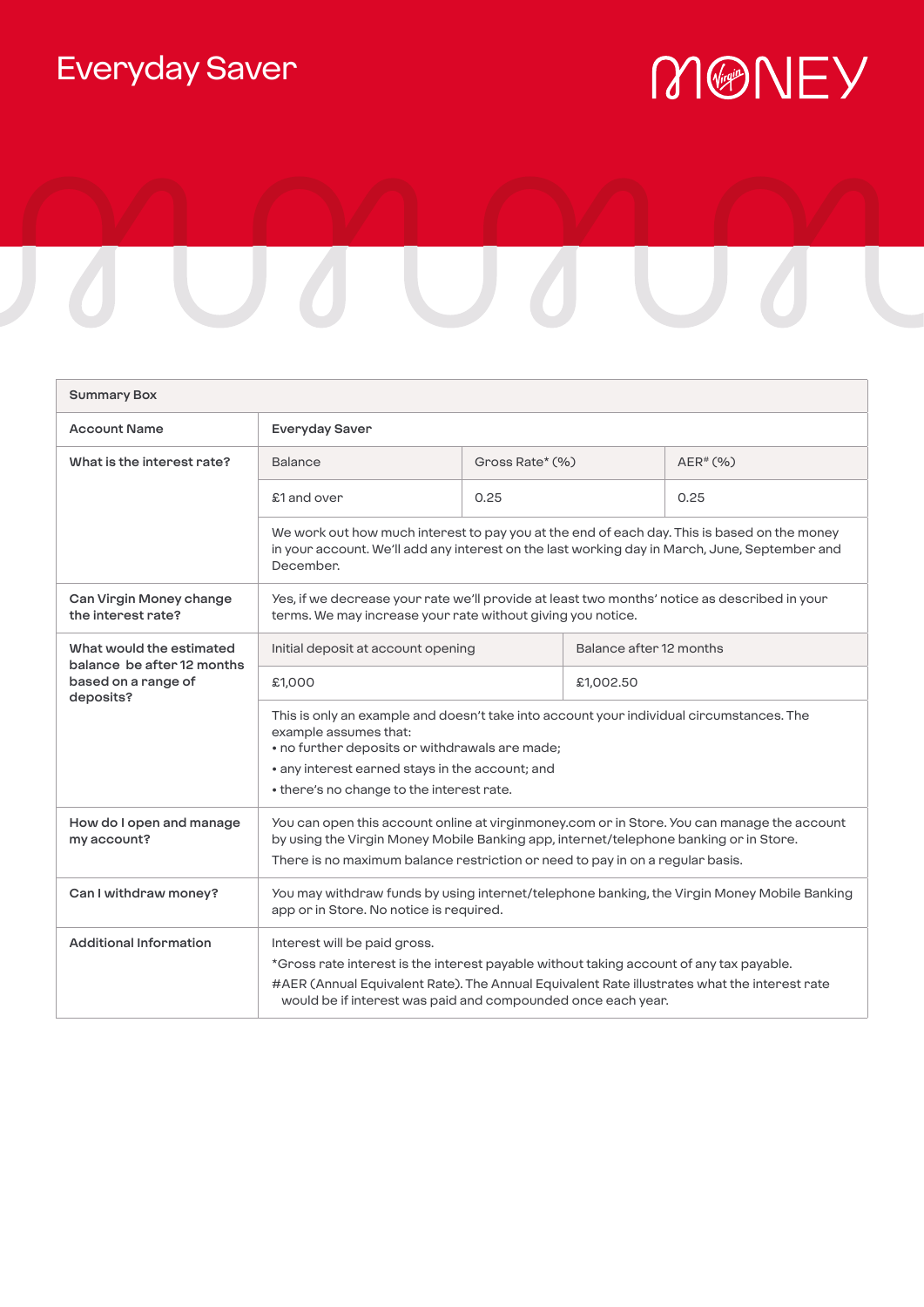## Everyday Saver

## MONEY



| <b>Summary Box</b>                                                                         |                                                                                                                                                                                                                                                                                         |                 |                         |             |
|--------------------------------------------------------------------------------------------|-----------------------------------------------------------------------------------------------------------------------------------------------------------------------------------------------------------------------------------------------------------------------------------------|-----------------|-------------------------|-------------|
| <b>Account Name</b>                                                                        | Everyday Saver                                                                                                                                                                                                                                                                          |                 |                         |             |
| What is the interest rate?                                                                 | <b>Balance</b>                                                                                                                                                                                                                                                                          | Gross Rate* (%) |                         | $AER^*(% )$ |
|                                                                                            | £1 and over                                                                                                                                                                                                                                                                             | 0.25            |                         | 0.25        |
|                                                                                            | We work out how much interest to pay you at the end of each day. This is based on the money<br>in your account. We'll add any interest on the last working day in March, June, September and<br>December.                                                                               |                 |                         |             |
| Can Virgin Money change<br>the interest rate?                                              | Yes, if we decrease your rate we'll provide at least two months' notice as described in your<br>terms. We may increase your rate without giving you notice.                                                                                                                             |                 |                         |             |
| What would the estimated<br>balance be after 12 months<br>based on a range of<br>deposits? | Initial deposit at account opening                                                                                                                                                                                                                                                      |                 | Balance after 12 months |             |
|                                                                                            | £1,000                                                                                                                                                                                                                                                                                  |                 | £1,002.50               |             |
|                                                                                            | This is only an example and doesn't take into account your individual circumstances. The<br>example assumes that:<br>• no further deposits or withdrawals are made;<br>• any interest earned stays in the account; and<br>• there's no change to the interest rate.                     |                 |                         |             |
| How do I open and manage<br>my account?                                                    | You can open this account online at virginmoney.com or in Store. You can manage the account<br>by using the Virgin Money Mobile Banking app, internet/telephone banking or in Store.<br>There is no maximum balance restriction or need to pay in on a regular basis.                   |                 |                         |             |
| Can I withdraw money?                                                                      | You may withdraw funds by using internet/telephone banking, the Virgin Money Mobile Banking<br>app or in Store. No notice is required.                                                                                                                                                  |                 |                         |             |
| <b>Additional Information</b>                                                              | Interest will be paid gross.<br>*Gross rate interest is the interest payable without taking account of any tax payable.<br>#AER (Annual Equivalent Rate). The Annual Equivalent Rate illustrates what the interest rate<br>would be if interest was paid and compounded once each year. |                 |                         |             |